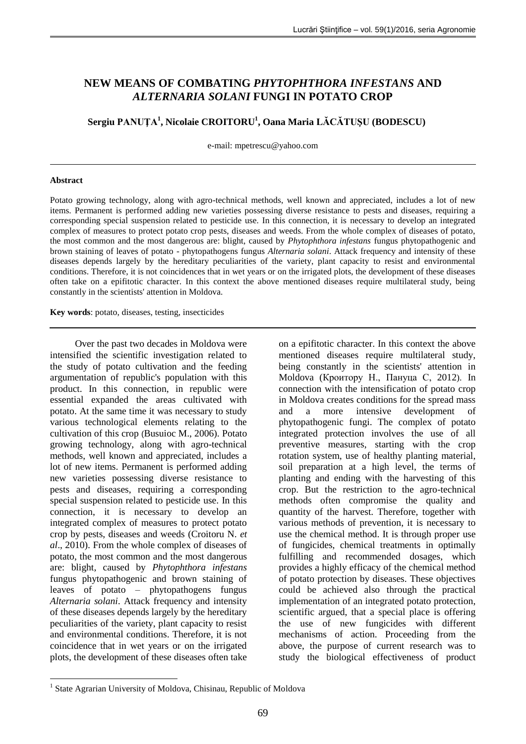# **NEW MEANS OF COMBATING** *PHYTOPHTHORA INFESTANS* **AND**  *ALTERNARIA SOLANI* **FUNGI IN POTATO CROP**

**Sergiu PANUŢA<sup>1</sup> , Nicolaie CROITORU<sup>1</sup> , Oana Maria LĂCĂTUŞU (BODESCU)**

e-mail: mpetrescu@yahoo.com

#### **Abstract**

1

Potato growing technology, along with agro-technical methods, well known and appreciated, includes a lot of new items. Permanent is performed adding new varieties possessing diverse resistance to pests and diseases, requiring a corresponding special suspension related to pesticide use. In this connection, it is necessary to develop an integrated complex of measures to protect potato crop pests, diseases and weeds. From the whole complex of diseases of potato, the most common and the most dangerous are: blight, caused by *Phytophthora infestans* fungus phytopathogenic and brown staining of leaves of potato - phytopathogens fungus *Alternaria solani*. Attack frequency and intensity of these diseases depends largely by the hereditary peculiarities of the variety, plant capacity to resist and environmental conditions. Therefore, it is not coincidences that in wet years or on the irrigated plots, the development of these diseases often take on a epifitotic character. In this context the above mentioned diseases require multilateral study, being constantly in the scientists' attention in Moldova.

**Key words**: potato, diseases, testing, insecticides

Over the past two decades in Moldova were intensified the scientific investigation related to the study of potato cultivation and the feeding argumentation of republic's population with this product. In this connection, in republic were essential expanded the areas cultivated with potato. At the same time it was necessary to study various technological elements relating to the cultivation of this crop (Busuioc M., 2006). Potato growing technology, along with agro-technical methods, well known and appreciated, includes a lot of new items. Permanent is performed adding new varieties possessing diverse resistance to pests and diseases, requiring a corresponding special suspension related to pesticide use. In this connection, it is necessary to develop an integrated complex of measures to protect potato crop by pests, diseases and weeds (Croitoru N. *et al*., 2010). From the whole complex of diseases of potato, the most common and the most dangerous are: blight, caused by *Phytophthora infestans* fungus phytopathogenic and brown staining of leaves of potato – phytopathogens fungus *Alternaria solani*. Attack frequency and intensity of these diseases depends largely by the hereditary peculiarities of the variety, plant capacity to resist and environmental conditions. Therefore, it is not coincidence that in wet years or on the irrigated plots, the development of these diseases often take

on a epifitotic character. In this context the above mentioned diseases require multilateral study, being constantly in the scientists' attention in Moldova (Кроитору Н., Пануца С, 2012). In connection with the intensification of potato crop in Moldova creates conditions for the spread mass and a more intensive development of phytopathogenic fungi. The complex of potato integrated protection involves the use of all preventive measures, starting with the crop rotation system, use of healthy planting material, soil preparation at a high level, the terms of planting and ending with the harvesting of this crop. But the restriction to the agro-technical methods often compromise the quality and quantity of the harvest. Therefore, together with various methods of prevention, it is necessary to use the chemical method. It is through proper use of fungicides, chemical treatments in optimally fulfilling and recommended dosages, which provides a highly efficacy of the chemical method of potato protection by diseases. These objectives could be achieved also through the practical implementation of an integrated potato protection, scientific argued, that a special place is offering the use of new fungicides with different mechanisms of action. Proceeding from the above, the purpose of current research was to study the biological effectiveness of product

<sup>&</sup>lt;sup>1</sup> State Agrarian University of Moldova, Chisinau, Republic of Moldova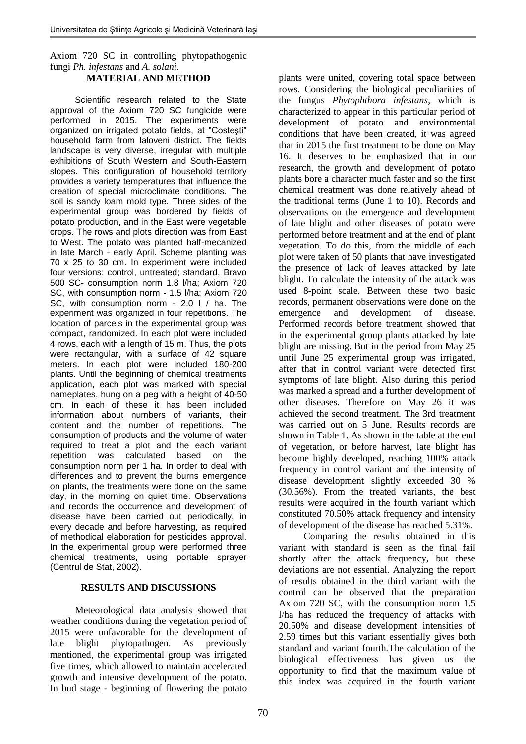# Axiom 720 SC in controlling phytopathogenic fungi *Ph. infestans* and *A. solani.*

## **MATERIAL AND METHOD**

Scientific research related to the State approval of the Axiom 720 SC fungicide were performed in 2015. The experiments were organized on irrigated potato fields, at "Costeşti" household farm from Ialoveni district. The fields landscape is very diverse, irregular with multiple exhibitions of South Western and South-Eastern slopes. This configuration of household territory provides a variety temperatures that influence the creation of special microclimate conditions. The soil is sandy loam mold type. Three sides of the experimental group was bordered by fields of potato production, and in the East were vegetable crops. The rows and plots direction was from East to West. The potato was planted half-mecanized in late March - early April. Scheme planting was 70 x 25 to 30 cm. In experiment were included four versions: control, untreated; standard, Bravo 500 SC- consumption norm 1.8 l/ha; Axiom 720 SC, with consumption norm - 1.5 l/ha; Axiom 720 SC, with consumption norm - 2.0 l / ha. The experiment was organized in four repetitions. The location of parcels in the experimental group was compact, randomized. In each plot were included 4 rows, each with a length of 15 m. Thus, the plots were rectangular, with a surface of 42 square meters. In each plot were included 180-200 plants. Until the beginning of chemical treatments application, each plot was marked with special nameplates, hung on a peg with a height of 40-50 cm. In each of these it has been included information about numbers of variants, their content and the number of repetitions. The consumption of products and the volume of water required to treat a plot and the each variant repetition was calculated based on the consumption norm per 1 ha. In order to deal with differences and to prevent the burns emergence on plants, the treatments were done on the same day, in the morning on quiet time. Observations and records the occurrence and development of disease have been carried out periodically, in every decade and before harvesting, as required of methodical elaboration for pesticides approval. In the experimental group were performed three chemical treatments, using portable sprayer (Centrul de Stat, 2002).

## **RESULTS AND DISCUSSIONS**

Meteorological data analysis showed that weather conditions during the vegetation period of 2015 were unfavorable for the development of late blight phytopathogen. As previously mentioned, the experimental group was irrigated five times, which allowed to maintain accelerated growth and intensive development of the potato. In bud stage - beginning of flowering the potato

plants were united, covering total space between rows. Considering the biological peculiarities of the fungus *Phytophthora infestans*, which is characterized to appear in this particular period of development of potato and environmental conditions that have been created, it was agreed that in 2015 the first treatment to be done on May 16. It deserves to be emphasized that in our research, the growth and development of potato plants bore a character much faster and so the first chemical treatment was done relatively ahead of the traditional terms (June 1 to 10). Records and observations on the emergence and development of late blight and other diseases of potato were performed before treatment and at the end of plant vegetation. To do this, from the middle of each plot were taken of 50 plants that have investigated the presence of lack of leaves attacked by late blight. To calculate the intensity of the attack was used 8-point scale. Between these two basic records, permanent observations were done on the emergence and development of disease. Performed records before treatment showed that in the experimental group plants attacked by late blight are missing. But in the period from May 25 until June 25 experimental group was irrigated, after that in control variant were detected first symptoms of late blight. Also during this period was marked a spread and a further development of other diseases. Therefore on May 26 it was achieved the second treatment. The 3rd treatment was carried out on 5 June. Results records are shown in Table 1. As shown in the table at the end of vegetation, or before harvest, late blight has become highly developed, reaching 100% attack frequency in control variant and the intensity of disease development slightly exceeded 30 % (30.56%). From the treated variants, the best results were acquired in the fourth variant which constituted 70.50% attack frequency and intensity of development of the disease has reached 5.31%.

Comparing the results obtained in this variant with standard is seen as the final fail shortly after the attack frequency, but these deviations are not essential. Analyzing the report of results obtained in the third variant with the control can be observed that the preparation Axiom 720 SC, with the consumption norm 1.5 l/ha has reduced the frequency of attacks with 20.50% and disease development intensities of 2.59 times but this variant essentially gives both standard and variant fourth.The calculation of the biological effectiveness has given us the opportunity to find that the maximum value of this index was acquired in the fourth variant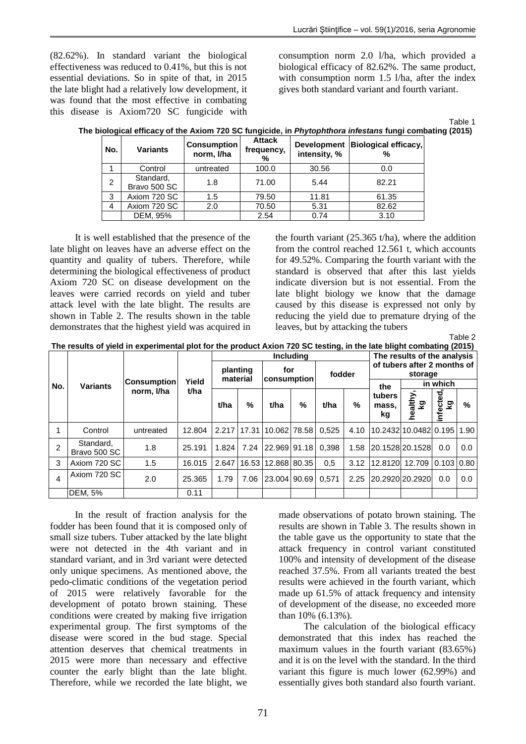(82.62%). In standard variant the biological effectiveness was reduced to 0.41%, but this is not essential deviations. So in spite of that, in 2015 the late blight had a relatively low development, it was found that the most effective in combating this disease is Axiom720 SC fungicide with

consumption norm 2.0 l/ha, which provided a biological efficacy of 82.62%. The same product, with consumption norm 1.5 l/ha, after the index gives both standard variant and fourth variant.

Table 1<br>(2015)

|  | The biological efficacy of the Axiom 720 SC fungicide, in Phytophthora infestans fungi combating (2015) |  |  |  |  |  |  |  |  |
|--|---------------------------------------------------------------------------------------------------------|--|--|--|--|--|--|--|--|
|  |                                                                                                         |  |  |  |  |  |  |  |  |

| No.           | <b>Variants</b>           | <b>Consumption</b><br>norm, I/ha | <b>Attack</b><br>frequency,<br>% | intensity, % | Development Biological efficacy,<br>% |  |
|---------------|---------------------------|----------------------------------|----------------------------------|--------------|---------------------------------------|--|
|               | Control                   | untreated                        |                                  | 30.56        | 0.0                                   |  |
| $\mathcal{P}$ | Standard,<br>Bravo 500 SC | 1.8                              | 71.00                            | 5.44         | 82.21                                 |  |
| 3             | Axiom 720 SC              | 1.5                              | 79.50                            | 11.81        | 61.35                                 |  |
| 4             | Axiom 720 SC              | 2.0                              | 70.50                            | 5.31         | 82.62                                 |  |
|               | DEM, 95%                  |                                  | 2.54                             | 0.74         | 3.10                                  |  |

It is well established that the presence of the late blight on leaves have an adverse effect on the quantity and quality of tubers. Therefore, while determining the biological effectiveness of product Axiom 720 SC on disease development on the leaves were carried records on yield and tuber attack level with the late blight. The results are shown in Table 2. The results shown in the table demonstrates that the highest yield was acquired in the fourth variant  $(25.365 \text{ t/ha})$ , where the addition from the control reached 12.561 t, which accounts for 49.52%. Comparing the fourth variant with the standard is observed that after this last yields indicate diversion but is not essential. From the late blight biology we know that the damage caused by this disease is expressed not only by reducing the yield due to premature drying of the leaves, but by attacking the tubers

Table 2

|  |  | The results of yield in experimental plot for the product Axion 720 SC testing, in the late blight combating (2015) |
|--|--|---------------------------------------------------------------------------------------------------------------------|
|  |  |                                                                                                                     |

|     |                           |                    |        |                      |      |                          | <b>Includina</b> | The results of the analysis |      |                                        |                            |                |     |
|-----|---------------------------|--------------------|--------|----------------------|------|--------------------------|------------------|-----------------------------|------|----------------------------------------|----------------------------|----------------|-----|
|     |                           | <b>Consumption</b> | Yield  | planting<br>material |      | for<br>consumption       |                  | fodder                      |      | of tubers after 2 months of<br>storage |                            |                |     |
| No. | <b>Variants</b>           |                    | t/ha   |                      |      |                          |                  |                             |      | the                                    | in which                   |                |     |
|     |                           | norm, I/ha         |        | t/ha                 | %    | t/ha                     | %                | t/ha                        | %    | tubers<br>mass.<br>kg                  | healthy,<br>ତୁ             | infected<br>δz | %   |
|     | Control                   | untreated          | 12.804 |                      |      | 2.217 17.31 10.062 78.58 |                  | 0.525                       | 4.10 |                                        | 10.2432 10.0482 0.195 1.90 |                |     |
| 2   | Standard,<br>Bravo 500 SC | 1.8                | 25.191 | 1.824                |      | 7.24 22.969 91.18        |                  | 0.398                       | 1.58 |                                        | 20.1528 20.1528            | 0.0            | 0.0 |
| 3   | Axiom 720 SC              | 1.5                | 16.015 | 2.647                |      | 16.53 12.868 80.35       |                  | 0.5                         | 3.12 | 12.8120                                | 12.709                     | $0.103$ 0.80   |     |
| 4   | Axiom 720 SC              | 2.0                | 25.365 | 1.79                 | 7.06 | 23.004 90.69             |                  | 0.571                       | 2.25 |                                        | 20.2920 20.2920            | 0.0            | 0.0 |
|     | <b>DEM. 5%</b>            |                    | 0.11   |                      |      |                          |                  |                             |      |                                        |                            |                |     |

In the result of fraction analysis for the fodder has been found that it is composed only of small size tubers. Tuber attacked by the late blight were not detected in the 4th variant and in standard variant, and in 3rd variant were detected only unique specimens. As mentioned above, the pedo-climatic conditions of the vegetation period of 2015 were relatively favorable for the development of potato brown staining. These conditions were created by making five irrigation experimental group. The first symptoms of the disease were scored in the bud stage. Special attention deserves that chemical treatments in 2015 were more than necessary and effective counter the early blight than the late blight. Therefore, while we recorded the late blight, we

made observations of potato brown staining. The results are shown in Table 3. The results shown in the table gave us the opportunity to state that the attack frequency in control variant constituted 100% and intensity of development of the disease reached 37.5%. From all variants treated the best results were achieved in the fourth variant, which made up 61.5% of attack frequency and intensity of development of the disease, no exceeded more than 10% (6.13%).

The calculation of the biological efficacy demonstrated that this index has reached the maximum values in the fourth variant (83.65%) and it is on the level with the standard. In the third variant this figure is much lower (62.99%) and essentially gives both standard also fourth variant.